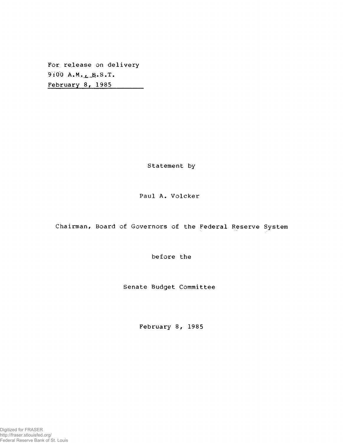For release on delivery  $9:00$  A.M.<sub>L.</sub>B.S.T. February 8, 1985

Statement by

### Paul A. Volcker

Chairman, Board of Governors of the Federal Reserve System

before the

Senate Budget Committee

February 8, 1985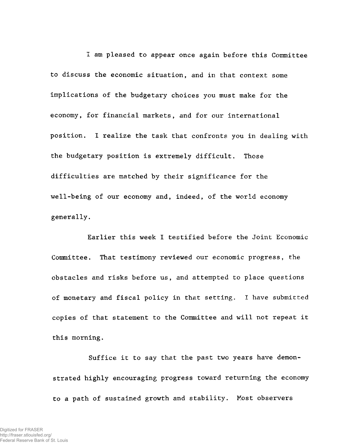I am pleased to appear once again before this Committee to discuss the economic situation, and in that context some implications of the budgetary choices you must make for the economy, for financial markets, and for our international position. I realize the task that confronts you in dealing with the budgetary position is extremely difficult. Those difficulties are matched by their significance for the well-being of our economy and, indeed, of the world economy generally.

Earlier this week I testified before the Joint Economic Committee. That testimony reviewed our economic progress, the obstacles and risks before us, and attempted to place questions of monetary and fiscal policy in that setting. I have submitted copies of that statement to the Committee and will not repeat it this morning.

Suffice it to say that the past two years have demonstrated highly encouraging progress toward returning the economy to a path of sustained growth and stability. Most observers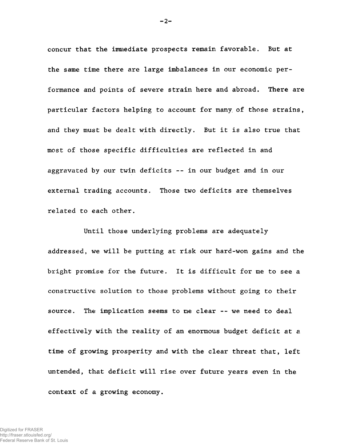concur that the immediate prospects remain favorable. But at the same time there are large imbalances in our economic performance and points of severe strain here and abroad. There are particular factors helping to account for many, of those strains, and they must be dealt with directly. But it is also true that most of those specific difficulties are reflected in and aggravated by our twin deficits --in our budget and in our external trading accounts. Those two deficits are themselves related to each other.

Until those underlying problems are adequately addressed, we will be putting at risk our hard-won gains and the bright promise for the future. It is difficult for me to see a constructive solution to those problems without going to their source. The implication seems to me clear -- we need to deal effectively with the reality of an enormous budget deficit at a time of growing prosperity and with the clear threat that, left untended, that deficit will rise over future years even in the context of a growing economy.

 $-2-$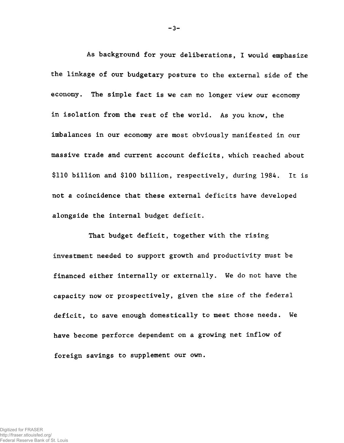As background for your deliberations, I would emphasize the linkage of our budgetary posture to the external side of the economy. The simple fact is we can no longer view our economy in isolation from the rest of the world. As you know, the imbalances in our economy are most obviously manifested in our massive trade and current account deficits, which reached about \$110 billion and \$100 billion, respectively, during 1984. It is not a coincidence that these external deficits have developed alongside the internal budget deficit.

That budget deficit, together with the rising investment needed to support growth and productivity must be financed either internally or externally. We do not have the capacity now or prospectively, given the size of the federal deficit, to save enough domestically to meet those needs. We have become perforce dependent on a growing net inflow of foreign savings to supplement our own.

 $-3-$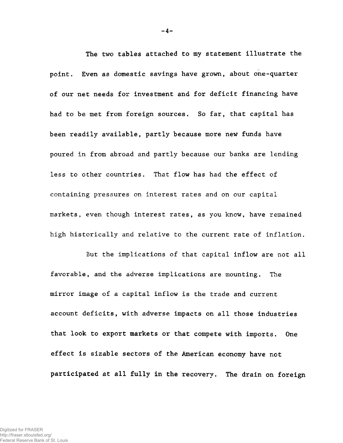The two tables attached to my statement illustrate the point. Even as domestic savings have grown, about one-quarter of our net needs for investment and for deficit financing have had to be met from foreign sources. So far, that capital has been readily available, partly because more new funds have poured in from abroad and partly because our banks are lending less to other countries. That flow has had the effect of containing pressures on interest rates and on our capital markets, even though interest rates, as you know, have remained high historically and relative to the current rate of inflation.

But the implications of that capital inflow are not all favorable, and the adverse implications are mounting. The mirror image of a capital inflow is the trade and current account deficits, with adverse impacts on all those industries that look to export markets or that compete with imports. One effect is sizable sectors of the American economy have not participated at all fully in the recovery. The drain on foreign

 $-4-$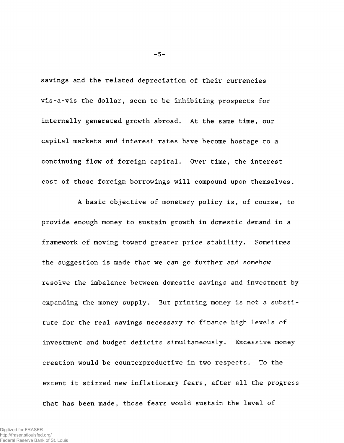savings and the related depreciation of their currencies vis-a-vis the dollar, seem to be inhibiting prospects for internally generated growth abroad. At the same time, our capital markets and interest rates have become hostage to a continuing flow of foreign capital. Over time, the interest cost of those foreign borrowings will compound upon themselves.

A basic objective of monetary policy is, of course, to provide enough money to sustain growth in domestic demand in a framework of moving toward greater price stability. Sometimes the suggestion is made that we can go further and somehow resolve the imbalance between domestic savings and investment by expanding the money supply. But printing money is not a substitute for the real savings necessary to finance high levels of investment and budget deficits simultaneously. Excessive money creation would be counterproductive in two respects. To the extent it stirred new inflationary fears, after all the progress that has been made, those fears would sustain the level of

 $-5-$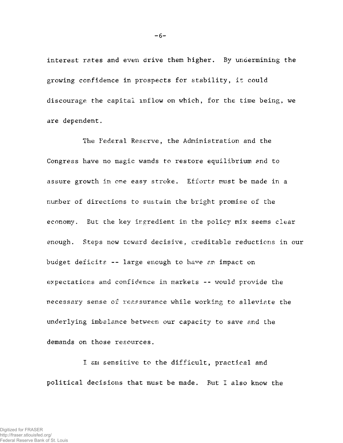interest rates and even drive them higher. By undermining the growing confidence in prospects for stability, it could discourage the capital inflow on which, for the time being, we are dependent.

The Federal Reserve, the Administration and the Congress have no magic wands to restore equilibrium and to assure growth in one easy stroke. Efforts must be made in a number of directions to sustain the bright promise of the economy. But the key irgredient in the policy mix seems clear enough. Steps now toward decisive, creditable reductions in our budget deficits  $--$  large enough to have an impact on expectations and confidence in markets -- would provide the necessary sense of reassurance while working to alleviate the underlying imbalance between our capacity to save and the demands on those resources.

I am sensitive to the difficult, practical and political decisions that must be made. But I also know the

 $-6-$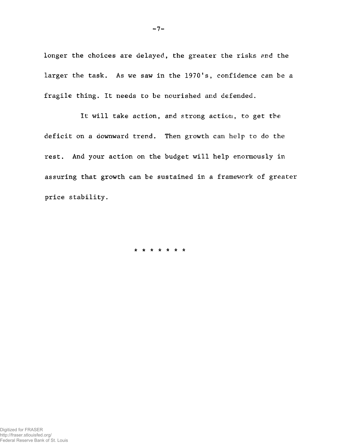longer the choices are delayed, the greater the risks and the larger the task. As we saw in the 1970's, confidence can be a fragile thing. It needs to be nourished and defended.

It will take action, and strong action, to get the deficit on a downward trend. Then growth can help to do the rest. And your action on the budget will help enormously in assuring that growth can be sustained in a framework of greater price stability.

\*\*\*\*\*\* \*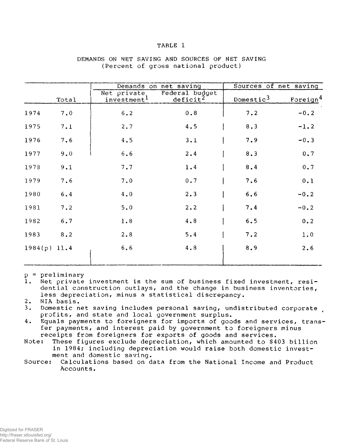#### TABLE 1

|                |       |                                         | Demands on net saving                  | Sources of net saving |                      |
|----------------|-------|-----------------------------------------|----------------------------------------|-----------------------|----------------------|
|                | Total | Net private.<br>investment <sup>1</sup> | Federal budget<br>deficit <sup>2</sup> | Domestic $3$          | Foreign <sup>4</sup> |
| 1974           | 7.0   | 6.2                                     | 0.8                                    | 7.2                   | $-0.2$               |
| 1975           | 7.1   | 2.7                                     | 4.5                                    | 8.3                   | $-1.2$               |
| 1976           | 7.6   | 4.5                                     | 3.1                                    | 7.9                   | $-0.3$               |
| 1977           | 9.0   | 6.6                                     | 2.4                                    | 8.3                   | 0.7                  |
| 1978           | 9.1   | 7.7                                     | 1.4                                    | 8, 4                  | 0.7                  |
| 1979           | 7.6   | 7.0                                     | 0.7                                    | 7.6                   | 0.1                  |
| 1980           | 6.4   | 4.0                                     | 2.3                                    | 6.6                   | $-0.2$               |
| 1981           | 7.2   | 5.0                                     | $2 \cdot 2$                            | 7.4                   | $-0.2$               |
| 1982           | 6.7   | 1.8                                     | 4.8                                    | 6.5                   | 0.2                  |
| 1983           | 8.2   | 2.8                                     | 5.4                                    | 7.2                   | 1.0                  |
| $1984(p)$ 11.4 |       | 6, 6                                    | 4.8                                    | 8.9                   | $2 \cdot 6$          |

#### DEMANDS ON NET SAVING AND SOURCES OF NET SAVING (Percent of gross national product)

p = preliminary

Net private investment is the sum of business fixed investment, residential construction outlays, and the change in business inventories, less depreciation, minus a statistical discrepancy.

2. NIA basis.<br>3. Domestic n

Domestic net saving includes personal saving, undistributed corporate profits, and state and local government surplus.

4. Equals payments to foreigners for imports of goods and services, transfer payments, and interest paid by government to foreigners minus receipts from foreigners for exports of goods and services.

Note: These figures exclude depreciation, which amounted to \$403 billion in 1984; including depreciation would raise both domestic investment and domestic saving.

Source: Calculations based on data from the National Income and Product Accounts.